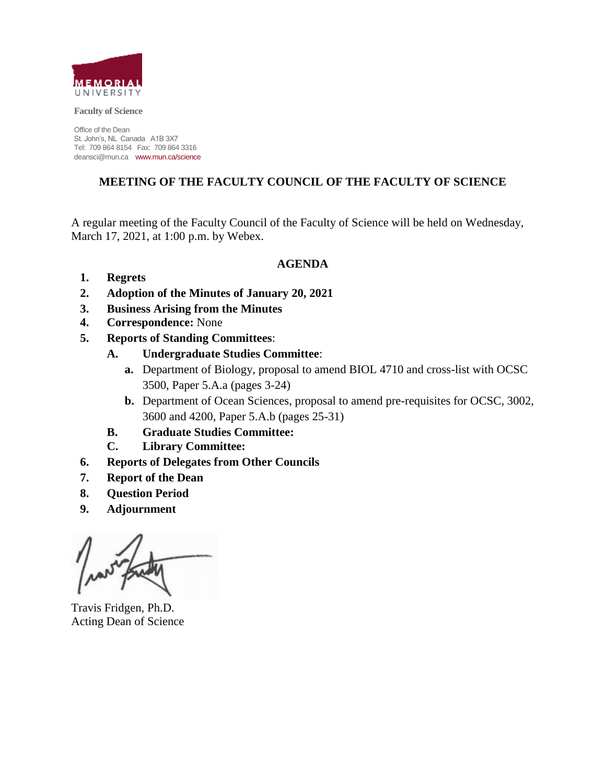

**Faculty of Science**

Office of the Dean St. John's, NL Canada A1B 3X7 Tel: 709 864 8154 Fax: 709 864 3316 deansci@mun.ca www.mun.ca/science

## **MEETING OF THE FACULTY COUNCIL OF THE FACULTY OF SCIENCE**

A regular meeting of the Faculty Council of the Faculty of Science will be held on Wednesday, March 17, 2021, at 1:00 p.m. by Webex.

**AGENDA**

- **1. Regrets**
- **2. Adoption of the Minutes of January 20, 2021**
- **3. Business Arising from the Minutes**
- **4. Correspondence:** None
- **5. Reports of Standing Committees**:
	- **A. Undergraduate Studies Committee**:
		- **a.** Department of Biology, proposal to amend BIOL 4710 and cross-list with OCSC 3500, Paper 5.A.a (pages 3-24)
		- **b.** Department of Ocean Sciences, proposal to amend pre-requisites for OCSC, 3002, 3600 and 4200, Paper 5.A.b (pages 25-31)
	- **B. Graduate Studies Committee:**
	- **C. Library Committee:**
- **6. Reports of Delegates from Other Councils**
- **7. Report of the Dean**
- **8. Question Period**
- **9. Adjournment**

Travis Fridgen, Ph.D. Acting Dean of Science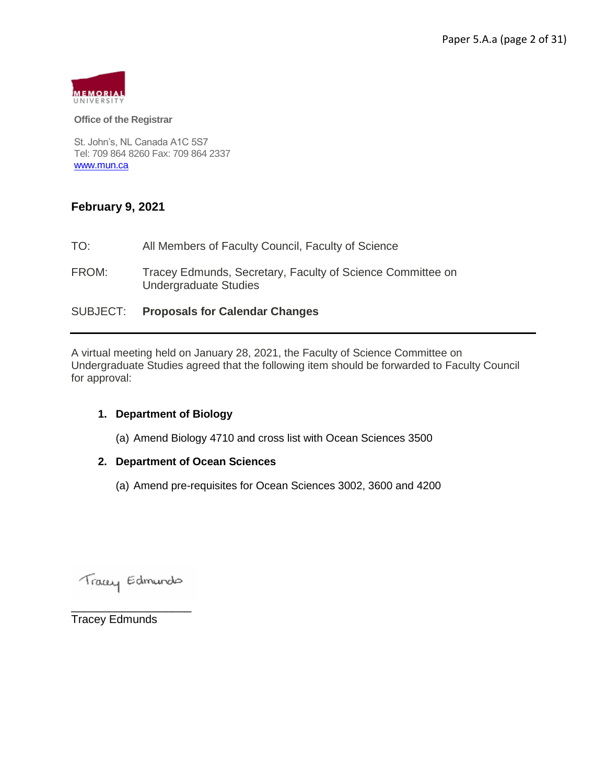

#### **Office of the Registrar**

St. John's, NL Canada A1C 5S7 Tel: 709 864 8260 Fax: 709 864 2337 [www.mun.ca](http://www.mun.ca/)

### **February 9, 2021**

- TO: All Members of Faculty Council, Faculty of Science
- FROM: Tracey Edmunds, Secretary, Faculty of Science Committee on Undergraduate Studies

#### SUBJECT: **Proposals for Calendar Changes**

A virtual meeting held on January 28, 2021, the Faculty of Science Committee on Undergraduate Studies agreed that the following item should be forwarded to Faculty Council for approval:

#### **1. Department of Biology**

(a) Amend Biology 4710 and cross list with Ocean Sciences 3500

#### **2. Department of Ocean Sciences**

(a) Amend pre-requisites for Ocean Sciences 3002, 3600 and 4200

Tracey Edmundo

\_\_\_\_\_\_\_\_\_\_\_\_\_\_\_\_\_\_\_

Tracey Edmunds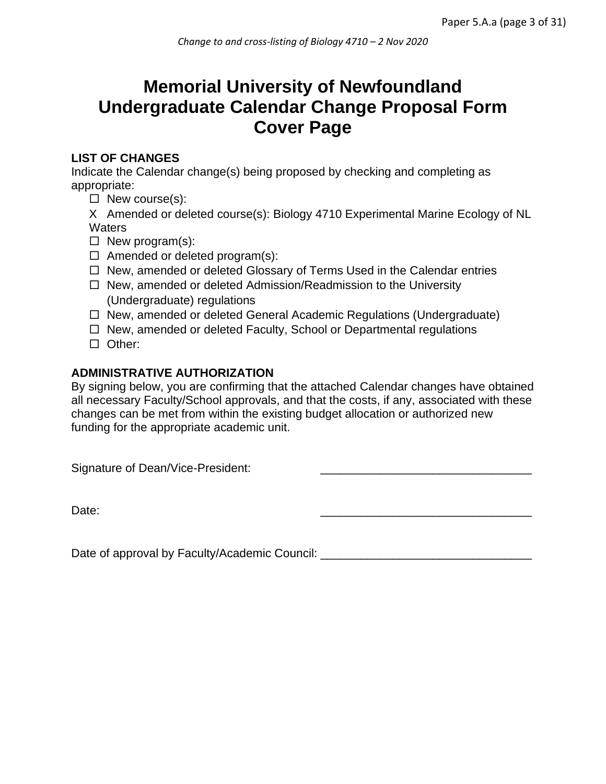# **Memorial University of Newfoundland Undergraduate Calendar Change Proposal Form Cover Page**

# **LIST OF CHANGES**

Indicate the Calendar change(s) being proposed by checking and completing as appropriate:

 $\Box$  New course(s):

X Amended or deleted course(s): Biology 4710 Experimental Marine Ecology of NL **Waters** 

- $\Box$  New program(s):
- $\Box$  Amended or deleted program(s):
- $\Box$  New, amended or deleted Glossary of Terms Used in the Calendar entries
- $\Box$  New, amended or deleted Admission/Readmission to the University (Undergraduate) regulations
- $\Box$  New, amended or deleted General Academic Regulations (Undergraduate)
- $\Box$  New, amended or deleted Faculty, School or Departmental regulations
- □ Other:

# **ADMINISTRATIVE AUTHORIZATION**

By signing below, you are confirming that the attached Calendar changes have obtained all necessary Faculty/School approvals, and that the costs, if any, associated with these changes can be met from within the existing budget allocation or authorized new funding for the appropriate academic unit.

Signature of Dean/Vice-President:

Date: \_\_\_\_\_\_\_\_\_\_\_\_\_\_\_\_\_\_\_\_\_\_\_\_\_\_\_\_\_\_\_\_

Date of approval by Faculty/Academic Council: \_\_\_\_\_\_\_\_\_\_\_\_\_\_\_\_\_\_\_\_\_\_\_\_\_\_\_\_\_\_\_\_\_\_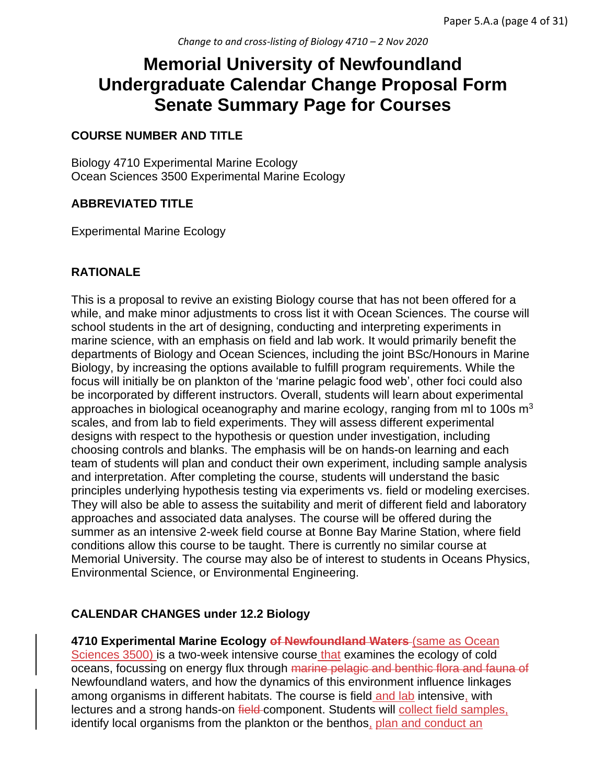# **Memorial University of Newfoundland Undergraduate Calendar Change Proposal Form Senate Summary Page for Courses**

## **COURSE NUMBER AND TITLE**

Biology 4710 Experimental Marine Ecology Ocean Sciences 3500 Experimental Marine Ecology

## **ABBREVIATED TITLE**

Experimental Marine Ecology

## **RATIONALE**

This is a proposal to revive an existing Biology course that has not been offered for a while, and make minor adjustments to cross list it with Ocean Sciences. The course will school students in the art of designing, conducting and interpreting experiments in marine science, with an emphasis on field and lab work. It would primarily benefit the departments of Biology and Ocean Sciences, including the joint BSc/Honours in Marine Biology, by increasing the options available to fulfill program requirements. While the focus will initially be on plankton of the 'marine pelagic food web', other foci could also be incorporated by different instructors. Overall, students will learn about experimental approaches in biological oceanography and marine ecology, ranging from ml to 100s  $m<sup>3</sup>$ scales, and from lab to field experiments. They will assess different experimental designs with respect to the hypothesis or question under investigation, including choosing controls and blanks. The emphasis will be on hands-on learning and each team of students will plan and conduct their own experiment, including sample analysis and interpretation. After completing the course, students will understand the basic principles underlying hypothesis testing via experiments vs. field or modeling exercises. They will also be able to assess the suitability and merit of different field and laboratory approaches and associated data analyses. The course will be offered during the summer as an intensive 2-week field course at Bonne Bay Marine Station, where field conditions allow this course to be taught. There is currently no similar course at Memorial University. The course may also be of interest to students in Oceans Physics, Environmental Science, or Environmental Engineering.

### **CALENDAR CHANGES under 12.2 Biology**

**4710 Experimental Marine Ecology of Newfoundland Waters** (same as Ocean Sciences 3500) is a two-week intensive course that examines the ecology of cold oceans, focussing on energy flux through marine pelagic and benthic flora and fauna of Newfoundland waters, and how the dynamics of this environment influence linkages among organisms in different habitats. The course is field and lab intensive, with lectures and a strong hands-on field-component. Students will collect field samples, identify local organisms from the plankton or the benthos, plan and conduct an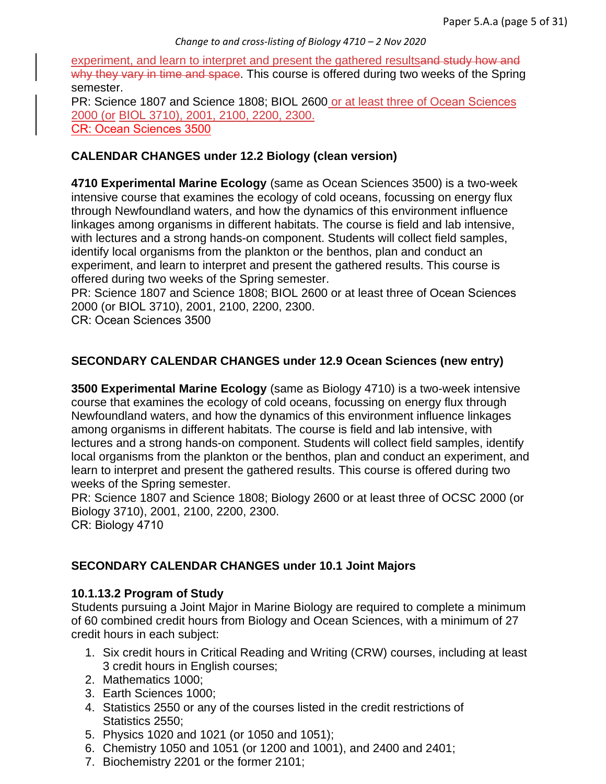experiment, and learn to interpret and present the gathered resultsand study how and why they vary in time and space. This course is offered during two weeks of the Spring semester.

PR: Science 1807 and Science 1808; BIOL 2600 or at least three of Ocean Sciences 2000 (or BIOL 3710), 2001, 2100, 2200, 2300. CR: Ocean Sciences 3500

## **CALENDAR CHANGES under 12.2 Biology (clean version)**

**4710 Experimental Marine Ecology** (same as Ocean Sciences 3500) is a two-week intensive course that examines the ecology of cold oceans, focussing on energy flux through Newfoundland waters, and how the dynamics of this environment influence linkages among organisms in different habitats. The course is field and lab intensive, with lectures and a strong hands-on component. Students will collect field samples, identify local organisms from the plankton or the benthos, plan and conduct an experiment, and learn to interpret and present the gathered results. This course is offered during two weeks of the Spring semester.

PR: Science 1807 and Science 1808; BIOL 2600 or at least three of Ocean Sciences 2000 (or BIOL 3710), 2001, 2100, 2200, 2300.

CR: Ocean Sciences 3500

## **SECONDARY CALENDAR CHANGES under 12.9 Ocean Sciences (new entry)**

**3500 Experimental Marine Ecology** (same as Biology 4710) is a two-week intensive course that examines the ecology of cold oceans, focussing on energy flux through Newfoundland waters, and how the dynamics of this environment influence linkages among organisms in different habitats. The course is field and lab intensive, with lectures and a strong hands-on component. Students will collect field samples, identify local organisms from the plankton or the benthos, plan and conduct an experiment, and learn to interpret and present the gathered results. This course is offered during two weeks of the Spring semester.

PR: Science 1807 and Science 1808; Biology 2600 or at least three of OCSC 2000 (or Biology 3710), 2001, 2100, 2200, 2300.

CR: Biology 4710

### **SECONDARY CALENDAR CHANGES under 10.1 Joint Majors**

### **10.1.13.2 Program of Study**

Students pursuing a Joint Major in Marine Biology are required to complete a minimum of 60 combined credit hours from Biology and Ocean Sciences, with a minimum of 27 credit hours in each subject:

- 1. Six credit hours in Critical Reading and Writing (CRW) courses, including at least 3 credit hours in English courses;
- 2. Mathematics 1000;
- 3. Earth Sciences 1000;
- 4. Statistics 2550 or any of the courses listed in the credit restrictions of Statistics 2550;
- 5. Physics 1020 and 1021 (or 1050 and 1051);
- 6. Chemistry 1050 and 1051 (or 1200 and 1001), and 2400 and 2401;
- 7. Biochemistry 2201 or the former 2101;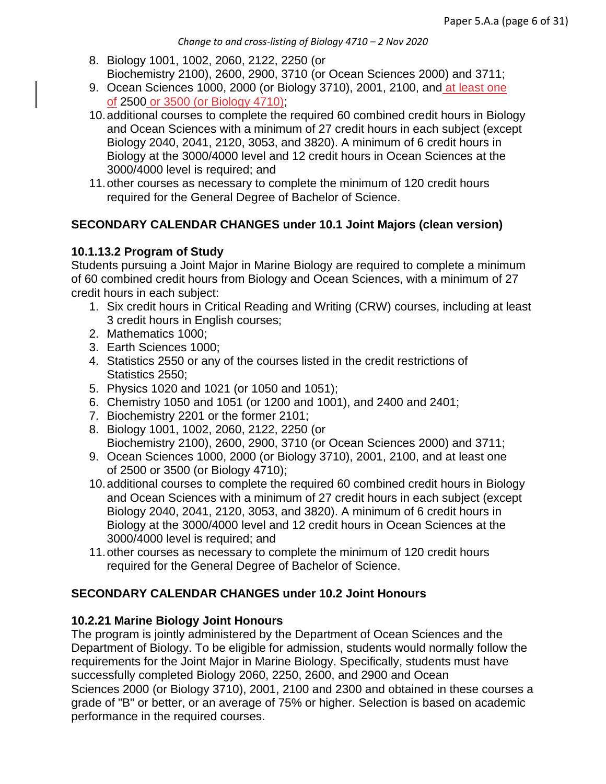- 8. Biology 1001, 1002, 2060, 2122, 2250 (or Biochemistry 2100), 2600, 2900, 3710 (or Ocean Sciences 2000) and 3711;
- 9. Ocean Sciences 1000, 2000 (or Biology 3710), 2001, 2100, and at least one of 2500 or 3500 (or Biology 4710);
- 10.additional courses to complete the required 60 combined credit hours in Biology and Ocean Sciences with a minimum of 27 credit hours in each subject (except Biology 2040, 2041, 2120, 3053, and 3820). A minimum of 6 credit hours in Biology at the 3000/4000 level and 12 credit hours in Ocean Sciences at the 3000/4000 level is required; and
- 11.other courses as necessary to complete the minimum of 120 credit hours required for the General Degree of Bachelor of Science.

# **SECONDARY CALENDAR CHANGES under 10.1 Joint Majors (clean version)**

## **10.1.13.2 Program of Study**

Students pursuing a Joint Major in Marine Biology are required to complete a minimum of 60 combined credit hours from Biology and Ocean Sciences, with a minimum of 27 credit hours in each subject:

- 1. Six credit hours in Critical Reading and Writing (CRW) courses, including at least 3 credit hours in English courses;
- 2. Mathematics 1000;
- 3. Earth Sciences 1000;
- 4. Statistics 2550 or any of the courses listed in the credit restrictions of Statistics 2550;
- 5. Physics 1020 and 1021 (or 1050 and 1051);
- 6. Chemistry 1050 and 1051 (or 1200 and 1001), and 2400 and 2401;
- 7. Biochemistry 2201 or the former 2101;
- 8. Biology 1001, 1002, 2060, 2122, 2250 (or Biochemistry 2100), 2600, 2900, 3710 (or Ocean Sciences 2000) and 3711;
- 9. Ocean Sciences 1000, 2000 (or Biology 3710), 2001, 2100, and at least one of 2500 or 3500 (or Biology 4710);
- 10.additional courses to complete the required 60 combined credit hours in Biology and Ocean Sciences with a minimum of 27 credit hours in each subject (except Biology 2040, 2041, 2120, 3053, and 3820). A minimum of 6 credit hours in Biology at the 3000/4000 level and 12 credit hours in Ocean Sciences at the 3000/4000 level is required; and
- 11.other courses as necessary to complete the minimum of 120 credit hours required for the General Degree of Bachelor of Science.

# **SECONDARY CALENDAR CHANGES under 10.2 Joint Honours**

### **10.2.21 Marine Biology Joint Honours**

The program is jointly administered by the Department of Ocean Sciences and the Department of Biology. To be eligible for admission, students would normally follow the requirements for the Joint Major in Marine Biology. Specifically, students must have successfully completed Biology 2060, 2250, 2600, and 2900 and Ocean Sciences 2000 (or Biology 3710), 2001, 2100 and 2300 and obtained in these courses a grade of "B" or better, or an average of 75% or higher. Selection is based on academic performance in the required courses.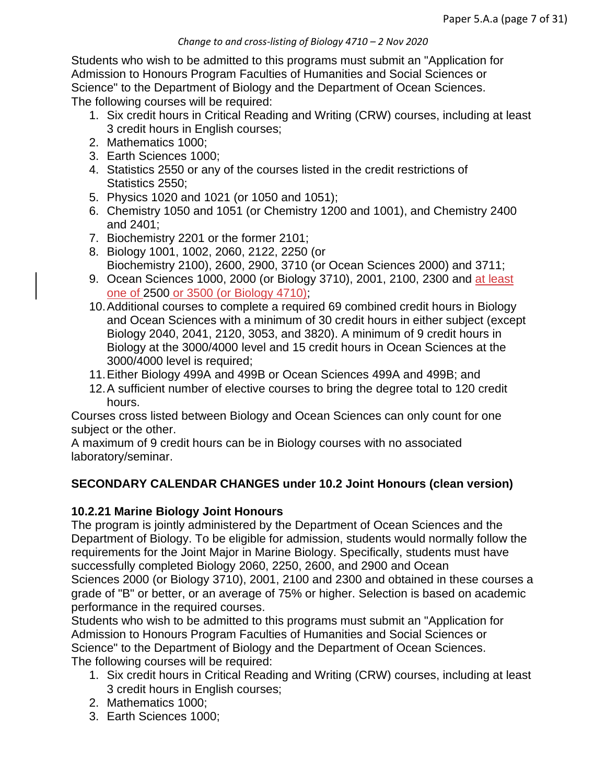#### *Change to and cross-listing of Biology 4710 – 2 Nov 2020*

Students who wish to be admitted to this programs must submit an "Application for Admission to Honours Program Faculties of Humanities and Social Sciences or Science" to the Department of Biology and the Department of Ocean Sciences. The following courses will be required:

- 1. Six credit hours in Critical Reading and Writing (CRW) courses, including at least 3 credit hours in English courses;
- 2. Mathematics 1000;
- 3. Earth Sciences 1000;
- 4. Statistics 2550 or any of the courses listed in the credit restrictions of Statistics 2550;
- 5. Physics 1020 and 1021 (or 1050 and 1051);
- 6. Chemistry 1050 and 1051 (or Chemistry 1200 and 1001), and Chemistry 2400 and 2401;
- 7. Biochemistry 2201 or the former 2101;
- 8. Biology 1001, 1002, 2060, 2122, 2250 (or Biochemistry 2100), 2600, 2900, 3710 (or Ocean Sciences 2000) and 3711;
- 9. Ocean Sciences 1000, 2000 (or Biology 3710), 2001, 2100, 2300 and at least one of 2500 or 3500 (or Biology 4710);
- 10.Additional courses to complete a required 69 combined credit hours in Biology and Ocean Sciences with a minimum of 30 credit hours in either subject (except Biology 2040, 2041, 2120, 3053, and 3820). A minimum of 9 credit hours in Biology at the 3000/4000 level and 15 credit hours in Ocean Sciences at the 3000/4000 level is required;
- 11.Either Biology 499A and 499B or Ocean Sciences 499A and 499B; and
- 12.A sufficient number of elective courses to bring the degree total to 120 credit hours.

Courses cross listed between Biology and Ocean Sciences can only count for one subject or the other.

A maximum of 9 credit hours can be in Biology courses with no associated laboratory/seminar.

# **SECONDARY CALENDAR CHANGES under 10.2 Joint Honours (clean version)**

# **10.2.21 Marine Biology Joint Honours**

The program is jointly administered by the Department of Ocean Sciences and the Department of Biology. To be eligible for admission, students would normally follow the requirements for the Joint Major in Marine Biology. Specifically, students must have successfully completed Biology 2060, 2250, 2600, and 2900 and Ocean Sciences 2000 (or Biology 3710), 2001, 2100 and 2300 and obtained in these courses a grade of "B" or better, or an average of 75% or higher. Selection is based on academic performance in the required courses.

Students who wish to be admitted to this programs must submit an "Application for Admission to Honours Program Faculties of Humanities and Social Sciences or Science" to the Department of Biology and the Department of Ocean Sciences. The following courses will be required:

- 1. Six credit hours in Critical Reading and Writing (CRW) courses, including at least 3 credit hours in English courses;
- 2. Mathematics 1000;
- 3. Earth Sciences 1000;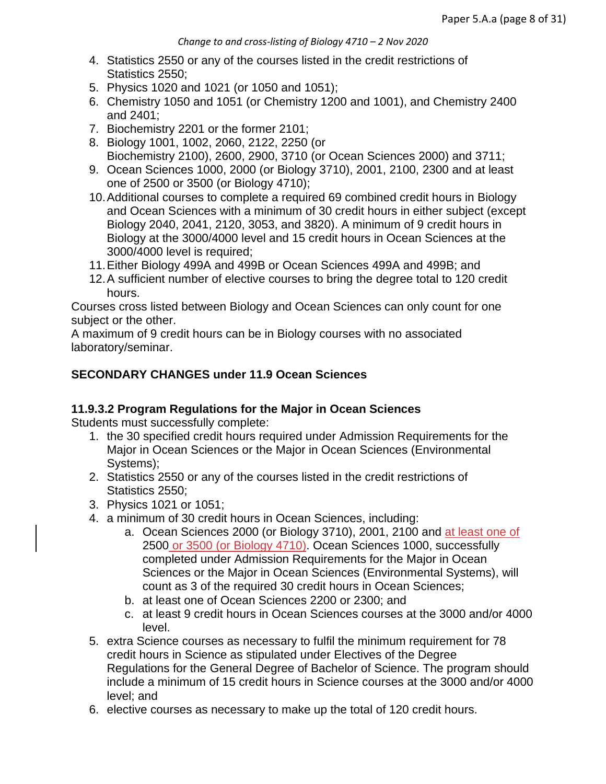- 4. Statistics 2550 or any of the courses listed in the credit restrictions of Statistics 2550:
- 5. Physics 1020 and 1021 (or 1050 and 1051);
- 6. Chemistry 1050 and 1051 (or Chemistry 1200 and 1001), and Chemistry 2400 and 2401;
- 7. Biochemistry 2201 or the former 2101;
- 8. Biology 1001, 1002, 2060, 2122, 2250 (or Biochemistry 2100), 2600, 2900, 3710 (or Ocean Sciences 2000) and 3711;
- 9. Ocean Sciences 1000, 2000 (or Biology 3710), 2001, 2100, 2300 and at least one of 2500 or 3500 (or Biology 4710);
- 10.Additional courses to complete a required 69 combined credit hours in Biology and Ocean Sciences with a minimum of 30 credit hours in either subject (except Biology 2040, 2041, 2120, 3053, and 3820). A minimum of 9 credit hours in Biology at the 3000/4000 level and 15 credit hours in Ocean Sciences at the 3000/4000 level is required;
- 11.Either Biology 499A and 499B or Ocean Sciences 499A and 499B; and
- 12.A sufficient number of elective courses to bring the degree total to 120 credit hours.

Courses cross listed between Biology and Ocean Sciences can only count for one subject or the other.

A maximum of 9 credit hours can be in Biology courses with no associated laboratory/seminar.

# **SECONDARY CHANGES under 11.9 Ocean Sciences**

# **11.9.3.2 Program Regulations for the Major in Ocean Sciences**

Students must successfully complete:

- 1. the 30 specified credit hours required under Admission Requirements for the Major in Ocean Sciences or the Major in Ocean Sciences (Environmental Systems);
- 2. Statistics 2550 or any of the courses listed in the credit restrictions of Statistics 2550;
- 3. Physics 1021 or 1051;
- 4. a minimum of 30 credit hours in Ocean Sciences, including:
	- a. Ocean Sciences 2000 (or Biology 3710), 2001, 2100 and at least one of 2500 or 3500 (or Biology 4710). Ocean Sciences 1000, successfully completed under Admission Requirements for the Major in Ocean Sciences or the Major in Ocean Sciences (Environmental Systems), will count as 3 of the required 30 credit hours in Ocean Sciences;
	- b. at least one of Ocean Sciences 2200 or 2300; and
	- c. at least 9 credit hours in Ocean Sciences courses at the 3000 and/or 4000 level.
- 5. extra Science courses as necessary to fulfil the minimum requirement for 78 credit hours in Science as stipulated under Electives of the Degree Regulations for the General Degree of Bachelor of Science. The program should include a minimum of 15 credit hours in Science courses at the 3000 and/or 4000 level; and
- 6. elective courses as necessary to make up the total of 120 credit hours.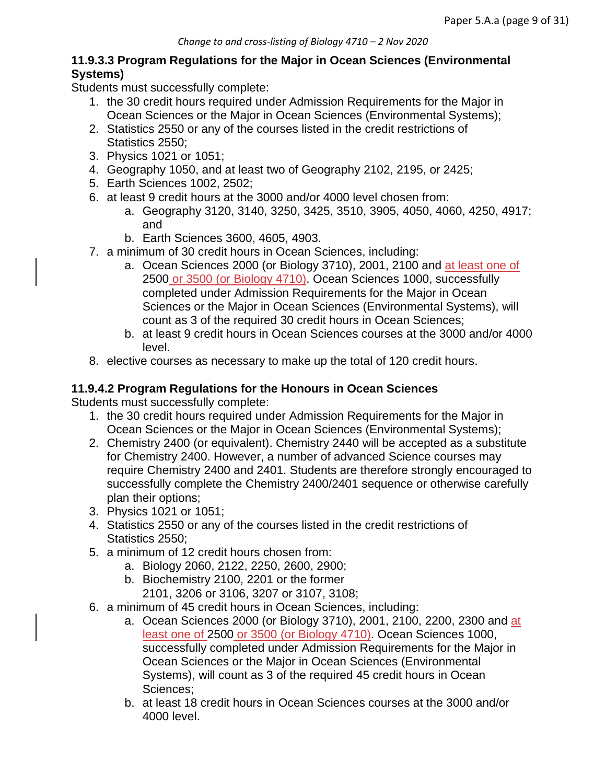## **11.9.3.3 Program Regulations for the Major in Ocean Sciences (Environmental Systems)**

Students must successfully complete:

- 1. the 30 credit hours required under Admission Requirements for the Major in Ocean Sciences or the Major in Ocean Sciences (Environmental Systems);
- 2. Statistics 2550 or any of the courses listed in the credit restrictions of Statistics 2550;
- 3. Physics 1021 or 1051;
- 4. Geography 1050, and at least two of Geography 2102, 2195, or 2425;
- 5. Earth Sciences 1002, 2502;
- 6. at least 9 credit hours at the 3000 and/or 4000 level chosen from:
	- a. Geography 3120, 3140, 3250, 3425, 3510, 3905, 4050, 4060, 4250, 4917; and
	- b. Earth Sciences 3600, 4605, 4903.
- 7. a minimum of 30 credit hours in Ocean Sciences, including:
	- a. Ocean Sciences 2000 (or Biology 3710), 2001, 2100 and at least one of 2500 or 3500 (or Biology 4710). Ocean Sciences 1000, successfully completed under Admission Requirements for the Major in Ocean Sciences or the Major in Ocean Sciences (Environmental Systems), will count as 3 of the required 30 credit hours in Ocean Sciences;
	- b. at least 9 credit hours in Ocean Sciences courses at the 3000 and/or 4000 level.
- 8. elective courses as necessary to make up the total of 120 credit hours.

# **11.9.4.2 Program Regulations for the Honours in Ocean Sciences**

Students must successfully complete:

- 1. the 30 credit hours required under Admission Requirements for the Major in Ocean Sciences or the Major in Ocean Sciences (Environmental Systems);
- 2. Chemistry 2400 (or equivalent). Chemistry 2440 will be accepted as a substitute for Chemistry 2400. However, a number of advanced Science courses may require Chemistry 2400 and 2401. Students are therefore strongly encouraged to successfully complete the Chemistry 2400/2401 sequence or otherwise carefully plan their options;
- 3. Physics 1021 or 1051;
- 4. Statistics 2550 or any of the courses listed in the credit restrictions of Statistics 2550;
- 5. a minimum of 12 credit hours chosen from:
	- a. Biology 2060, 2122, 2250, 2600, 2900;
		- b. Biochemistry 2100, 2201 or the former
			- 2101, 3206 or 3106, 3207 or 3107, 3108;
- 6. a minimum of 45 credit hours in Ocean Sciences, including:
	- a. Ocean Sciences 2000 (or Biology 3710), 2001, 2100, 2200, 2300 and at least one of 2500 or 3500 (or Biology 4710). Ocean Sciences 1000, successfully completed under Admission Requirements for the Major in Ocean Sciences or the Major in Ocean Sciences (Environmental Systems), will count as 3 of the required 45 credit hours in Ocean Sciences;
	- b. at least 18 credit hours in Ocean Sciences courses at the 3000 and/or 4000 level.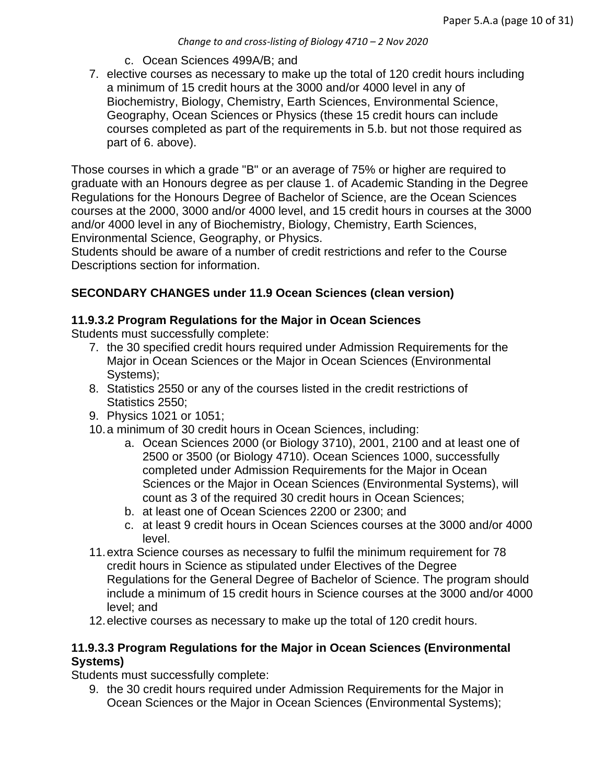- c. Ocean Sciences 499A/B; and
- 7. elective courses as necessary to make up the total of 120 credit hours including a minimum of 15 credit hours at the 3000 and/or 4000 level in any of Biochemistry, Biology, Chemistry, Earth Sciences, Environmental Science, Geography, Ocean Sciences or Physics (these 15 credit hours can include courses completed as part of the requirements in 5.b. but not those required as part of 6. above).

Those courses in which a grade "B" or an average of 75% or higher are required to graduate with an Honours degree as per clause 1. of Academic Standing in the Degree Regulations for the Honours Degree of Bachelor of Science, are the Ocean Sciences courses at the 2000, 3000 and/or 4000 level, and 15 credit hours in courses at the 3000 and/or 4000 level in any of Biochemistry, Biology, Chemistry, Earth Sciences, Environmental Science, Geography, or Physics.

Students should be aware of a number of credit restrictions and refer to the Course Descriptions section for information.

## **SECONDARY CHANGES under 11.9 Ocean Sciences (clean version)**

### **11.9.3.2 Program Regulations for the Major in Ocean Sciences**

Students must successfully complete:

- 7. the 30 specified credit hours required under Admission Requirements for the Major in Ocean Sciences or the Major in Ocean Sciences (Environmental Systems);
- 8. Statistics 2550 or any of the courses listed in the credit restrictions of Statistics 2550;
- 9. Physics 1021 or 1051;
- 10.a minimum of 30 credit hours in Ocean Sciences, including:
	- a. Ocean Sciences 2000 (or Biology 3710), 2001, 2100 and at least one of 2500 or 3500 (or Biology 4710). Ocean Sciences 1000, successfully completed under Admission Requirements for the Major in Ocean Sciences or the Major in Ocean Sciences (Environmental Systems), will count as 3 of the required 30 credit hours in Ocean Sciences;
	- b. at least one of Ocean Sciences 2200 or 2300; and
	- c. at least 9 credit hours in Ocean Sciences courses at the 3000 and/or 4000 level.
- 11.extra Science courses as necessary to fulfil the minimum requirement for 78 credit hours in Science as stipulated under Electives of the Degree Regulations for the General Degree of Bachelor of Science. The program should include a minimum of 15 credit hours in Science courses at the 3000 and/or 4000 level; and
- 12.elective courses as necessary to make up the total of 120 credit hours.

### **11.9.3.3 Program Regulations for the Major in Ocean Sciences (Environmental Systems)**

Students must successfully complete:

9. the 30 credit hours required under Admission Requirements for the Major in Ocean Sciences or the Major in Ocean Sciences (Environmental Systems);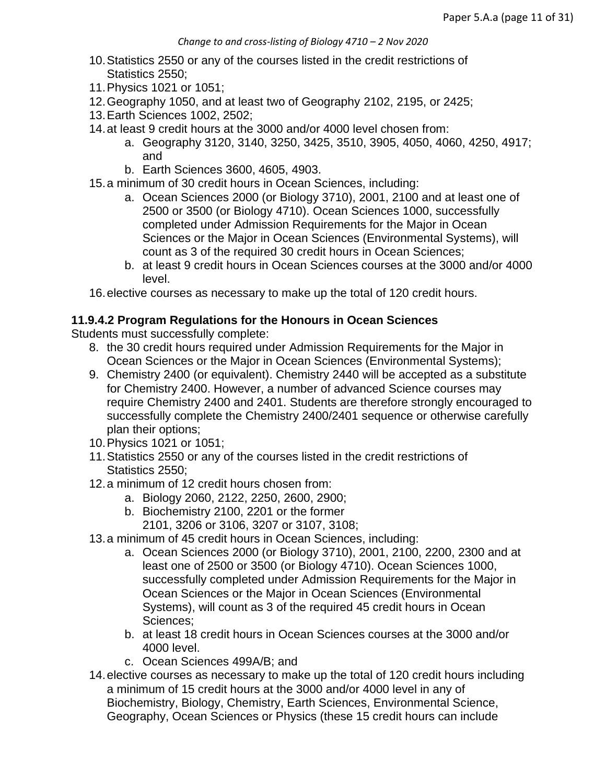- 10.Statistics 2550 or any of the courses listed in the credit restrictions of Statistics 2550;
- 11.Physics 1021 or 1051;
- 12.Geography 1050, and at least two of Geography 2102, 2195, or 2425;
- 13.Earth Sciences 1002, 2502;
- 14.at least 9 credit hours at the 3000 and/or 4000 level chosen from:
	- a. Geography 3120, 3140, 3250, 3425, 3510, 3905, 4050, 4060, 4250, 4917; and
	- b. Earth Sciences 3600, 4605, 4903.
- 15.a minimum of 30 credit hours in Ocean Sciences, including:
	- a. Ocean Sciences 2000 (or Biology 3710), 2001, 2100 and at least one of 2500 or 3500 (or Biology 4710). Ocean Sciences 1000, successfully completed under Admission Requirements for the Major in Ocean Sciences or the Major in Ocean Sciences (Environmental Systems), will count as 3 of the required 30 credit hours in Ocean Sciences;
	- b. at least 9 credit hours in Ocean Sciences courses at the 3000 and/or 4000 level.

16.elective courses as necessary to make up the total of 120 credit hours.

#### **11.9.4.2 Program Regulations for the Honours in Ocean Sciences**

Students must successfully complete:

- 8. the 30 credit hours required under Admission Requirements for the Major in Ocean Sciences or the Major in Ocean Sciences (Environmental Systems);
- 9. Chemistry 2400 (or equivalent). Chemistry 2440 will be accepted as a substitute for Chemistry 2400. However, a number of advanced Science courses may require Chemistry 2400 and 2401. Students are therefore strongly encouraged to successfully complete the Chemistry 2400/2401 sequence or otherwise carefully plan their options;
- 10.Physics 1021 or 1051;
- 11.Statistics 2550 or any of the courses listed in the credit restrictions of Statistics 2550;
- 12.a minimum of 12 credit hours chosen from:
	- a. Biology 2060, 2122, 2250, 2600, 2900;
	- b. Biochemistry 2100, 2201 or the former
		- 2101, 3206 or 3106, 3207 or 3107, 3108;
- 13.a minimum of 45 credit hours in Ocean Sciences, including:
	- a. Ocean Sciences 2000 (or Biology 3710), 2001, 2100, 2200, 2300 and at least one of 2500 or 3500 (or Biology 4710). Ocean Sciences 1000, successfully completed under Admission Requirements for the Major in Ocean Sciences or the Major in Ocean Sciences (Environmental Systems), will count as 3 of the required 45 credit hours in Ocean Sciences;
	- b. at least 18 credit hours in Ocean Sciences courses at the 3000 and/or 4000 level.
	- c. Ocean Sciences 499A/B; and
- 14.elective courses as necessary to make up the total of 120 credit hours including a minimum of 15 credit hours at the 3000 and/or 4000 level in any of Biochemistry, Biology, Chemistry, Earth Sciences, Environmental Science, Geography, Ocean Sciences or Physics (these 15 credit hours can include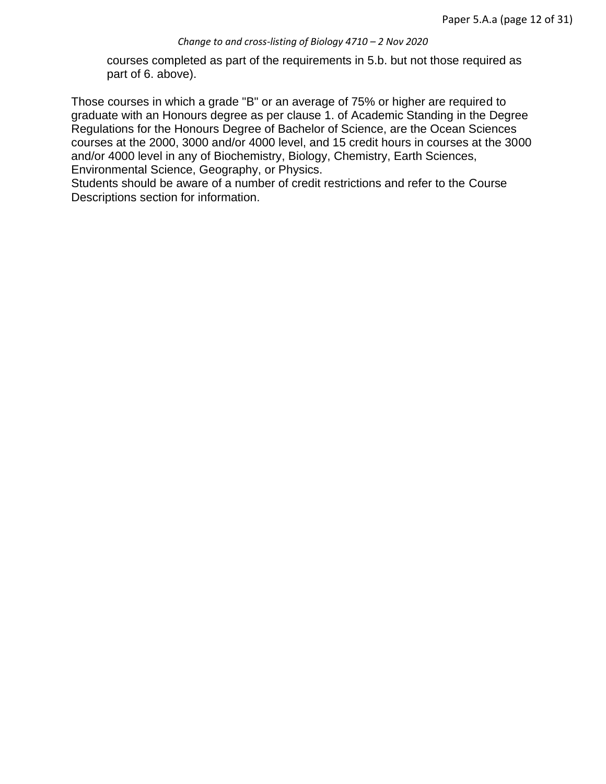courses completed as part of the requirements in 5.b. but not those required as part of 6. above).

Those courses in which a grade "B" or an average of 75% or higher are required to graduate with an Honours degree as per clause 1. of Academic Standing in the Degree Regulations for the Honours Degree of Bachelor of Science, are the Ocean Sciences courses at the 2000, 3000 and/or 4000 level, and 15 credit hours in courses at the 3000 and/or 4000 level in any of Biochemistry, Biology, Chemistry, Earth Sciences, Environmental Science, Geography, or Physics.

Students should be aware of a number of credit restrictions and refer to the Course Descriptions section for information.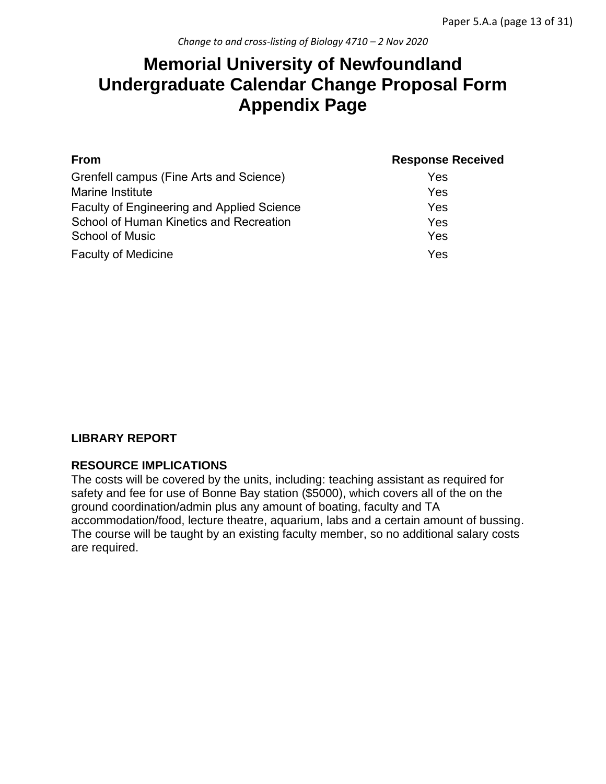# **Memorial University of Newfoundland Undergraduate Calendar Change Proposal Form Appendix Page**

| <b>From</b>                                       | <b>Response Received</b> |
|---------------------------------------------------|--------------------------|
| Grenfell campus (Fine Arts and Science)           | Yes                      |
| Marine Institute                                  | Yes                      |
| <b>Faculty of Engineering and Applied Science</b> | Yes                      |
| School of Human Kinetics and Recreation           | Yes                      |
| <b>School of Music</b>                            | Yes                      |
| <b>Faculty of Medicine</b>                        | Yes                      |

### **LIBRARY REPORT**

#### **RESOURCE IMPLICATIONS**

The costs will be covered by the units, including: teaching assistant as required for safety and fee for use of Bonne Bay station (\$5000), which covers all of the on the ground coordination/admin plus any amount of boating, faculty and TA accommodation/food, lecture theatre, aquarium, labs and a certain amount of bussing. The course will be taught by an existing faculty member, so no additional salary costs are required.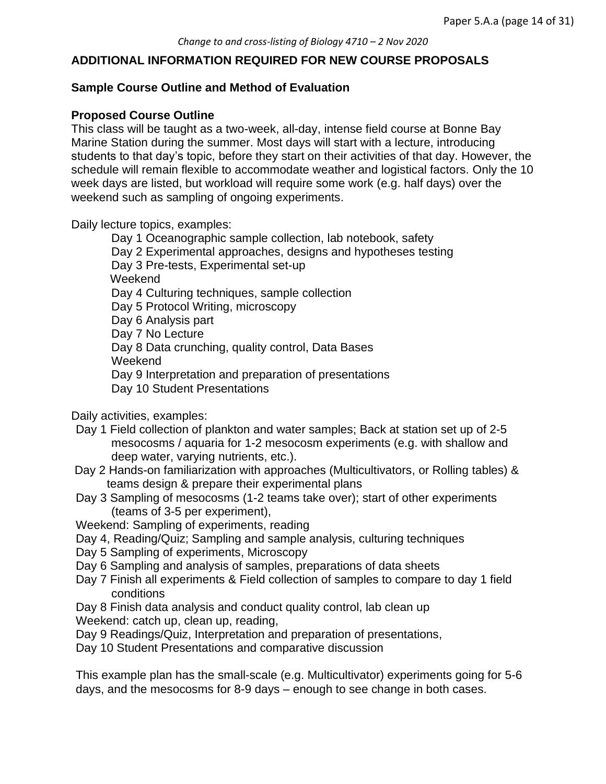#### **ADDITIONAL INFORMATION REQUIRED FOR NEW COURSE PROPOSALS**

#### **Sample Course Outline and Method of Evaluation**

#### **Proposed Course Outline**

This class will be taught as a two-week, all-day, intense field course at Bonne Bay Marine Station during the summer. Most days will start with a lecture, introducing students to that day's topic, before they start on their activities of that day. However, the schedule will remain flexible to accommodate weather and logistical factors. Only the 10 week days are listed, but workload will require some work (e.g. half days) over the weekend such as sampling of ongoing experiments.

Daily lecture topics, examples:

Day 1 Oceanographic sample collection, lab notebook, safety Day 2 Experimental approaches, designs and hypotheses testing Day 3 Pre-tests, Experimental set-up Weekend Day 4 Culturing techniques, sample collection Day 5 Protocol Writing, microscopy Day 6 Analysis part Day 7 No Lecture Day 8 Data crunching, quality control, Data Bases Weekend Day 9 Interpretation and preparation of presentations Day 10 Student Presentations

Daily activities, examples:

- Day 1 Field collection of plankton and water samples; Back at station set up of 2-5 mesocosms / aquaria for 1-2 mesocosm experiments (e.g. with shallow and deep water, varying nutrients, etc.).
- Day 2 Hands-on familiarization with approaches (Multicultivators, or Rolling tables) & teams design & prepare their experimental plans
- Day 3 Sampling of mesocosms (1-2 teams take over); start of other experiments (teams of 3-5 per experiment),
- Weekend: Sampling of experiments, reading
- Day 4, Reading/Quiz; Sampling and sample analysis, culturing techniques
- Day 5 Sampling of experiments, Microscopy
- Day 6 Sampling and analysis of samples, preparations of data sheets
- Day 7 Finish all experiments & Field collection of samples to compare to day 1 field conditions

Day 8 Finish data analysis and conduct quality control, lab clean up Weekend: catch up, clean up, reading,

Day 9 Readings/Quiz, Interpretation and preparation of presentations,

Day 10 Student Presentations and comparative discussion

This example plan has the small-scale (e.g. Multicultivator) experiments going for 5-6 days, and the mesocosms for 8-9 days – enough to see change in both cases.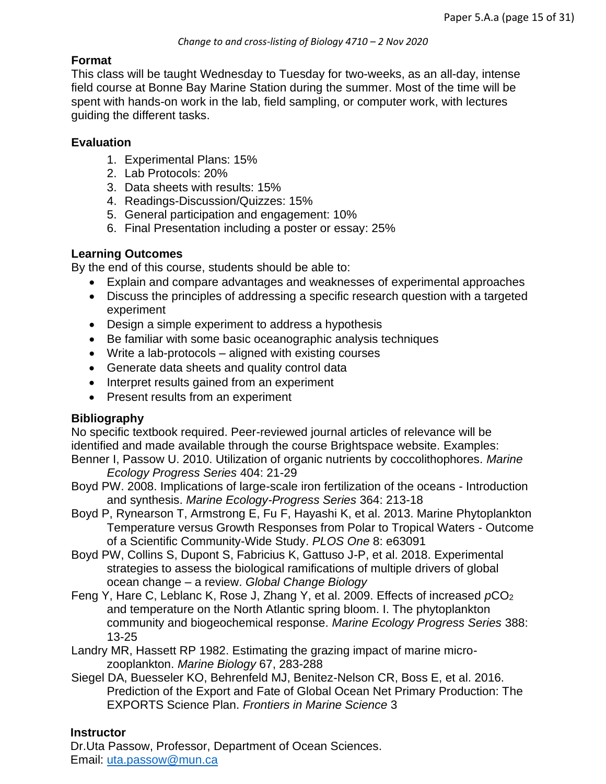#### **Format**

This class will be taught Wednesday to Tuesday for two-weeks, as an all-day, intense field course at Bonne Bay Marine Station during the summer. Most of the time will be spent with hands-on work in the lab, field sampling, or computer work, with lectures guiding the different tasks.

#### **Evaluation**

- 1. Experimental Plans: 15%
- 2. Lab Protocols: 20%
- 3. Data sheets with results: 15%
- 4. Readings-Discussion/Quizzes: 15%
- 5. General participation and engagement: 10%
- 6. Final Presentation including a poster or essay: 25%

#### **Learning Outcomes**

By the end of this course, students should be able to:

- Explain and compare advantages and weaknesses of experimental approaches
- Discuss the principles of addressing a specific research question with a targeted experiment
- Design a simple experiment to address a hypothesis
- Be familiar with some basic oceanographic analysis techniques
- Write a lab-protocols aligned with existing courses
- Generate data sheets and quality control data
- Interpret results gained from an experiment
- Present results from an experiment

#### **Bibliography**

No specific textbook required. Peer-reviewed journal articles of relevance will be identified and made available through the course Brightspace website. Examples: Benner I, Passow U. 2010. Utilization of organic nutrients by coccolithophores. *Marine* 

*Ecology Progress Series* 404: 21-29

- Boyd PW. 2008. Implications of large-scale iron fertilization of the oceans Introduction and synthesis. *Marine Ecology-Progress Series* 364: 213-18
- Boyd P, Rynearson T, Armstrong E, Fu F, Hayashi K, et al. 2013. Marine Phytoplankton Temperature versus Growth Responses from Polar to Tropical Waters - Outcome of a Scientific Community-Wide Study. *PLOS One* 8: e63091
- Boyd PW, Collins S, Dupont S, Fabricius K, Gattuso J-P, et al. 2018. Experimental strategies to assess the biological ramifications of multiple drivers of global ocean change – a review. *Global Change Biology*
- Feng Y, Hare C, Leblanc K, Rose J, Zhang Y, et al. 2009. Effects of increased *p*CO<sup>2</sup> and temperature on the North Atlantic spring bloom. I. The phytoplankton community and biogeochemical response. *Marine Ecology Progress Series* 388: 13-25
- Landry MR, Hassett RP 1982. Estimating the grazing impact of marine microzooplankton. *Marine Biology* 67, 283-288
- Siegel DA, Buesseler KO, Behrenfeld MJ, Benitez-Nelson CR, Boss E, et al. 2016. Prediction of the Export and Fate of Global Ocean Net Primary Production: The EXPORTS Science Plan. *Frontiers in Marine Science* 3

### **Instructor**

Dr.Uta Passow, Professor, Department of Ocean Sciences. Email: uta.passow@mun.ca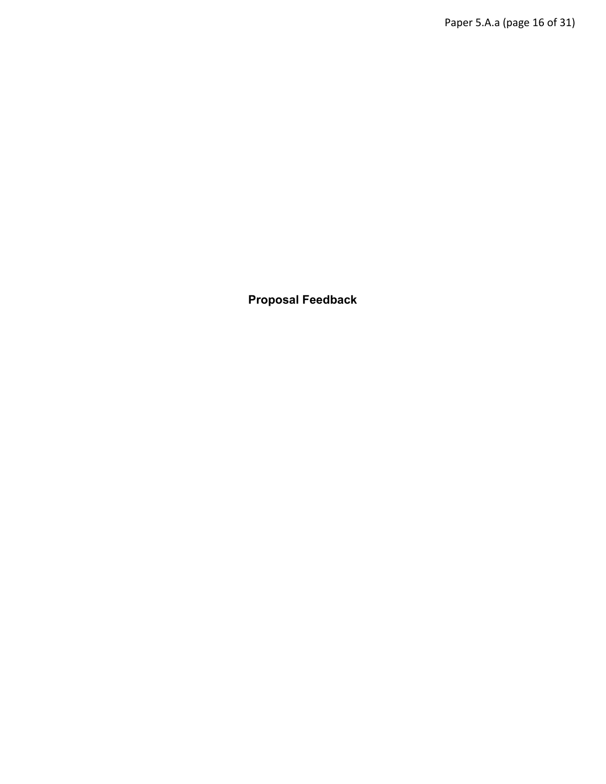**Proposal Feedback**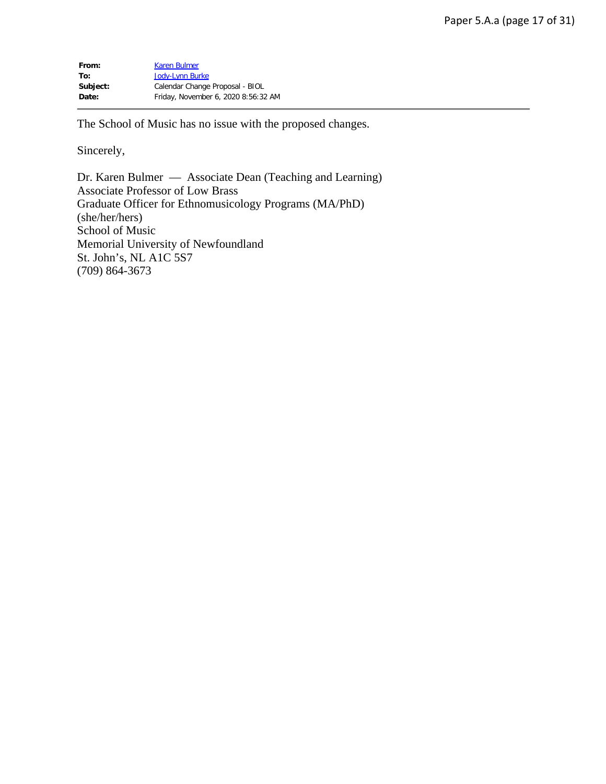| From:    | <b>Karen Bulmer</b>                 |
|----------|-------------------------------------|
| To:      | Jody-Lynn Burke                     |
| Subject: | Calendar Change Proposal - BIOL     |
| Date:    | Friday, November 6, 2020 8:56:32 AM |

The School of Music has no issue with the proposed changes.

Sincerely,

Dr. Karen Bulmer — Associate Dean (Teaching and Learning) Associate Professor of Low Brass Graduate Officer for Ethnomusicology Programs (MA/PhD) (she/her/hers) School of Music Memorial University of Newfoundland St. John's, NL A1C 5S7 (709) 864-3673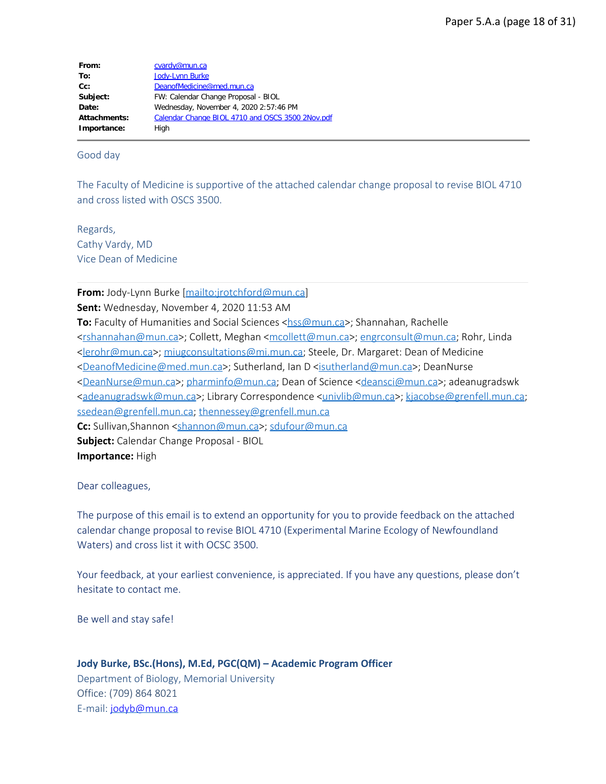| From:        | cvardy@mun.ca                                    |
|--------------|--------------------------------------------------|
| To:          | <b>Jody-Lynn Burke</b>                           |
| $Cc$ :       | DeanofMedicine@med.mun.ca                        |
| Subject:     | FW: Calendar Change Proposal - BIOL              |
| Date:        | Wednesday, November 4, 2020 2:57:46 PM           |
| Attachments: | Calendar Change BIOL 4710 and OSCS 3500 2Nov.pdf |
| Importance:  | High                                             |

Good day

The Faculty of Medicine is supportive of the attached calendar change proposal to revise BIOL 4710 and cross listed with OSCS 3500.

Regards, Cathy Vardy, MD Vice Dean of Medicine

**From:** Jody-Lynn Burke [<mailto:jrotchford@mun.ca>]

**Sent:** Wednesday, November 4, 2020 11:53 AM

**To:** Faculty of Humanities and Social Sciences [<hss@mun.ca](mailto:hss@mun.ca)>; Shannahan, Rachelle [<rshannahan@mun.ca](mailto:rshannahan@mun.ca)>; Collett, Meghan [<mcollett@mun.ca](mailto:mcollett@mun.ca)>; [engrconsult@mun.ca;](mailto:engrconsult@mun.ca) Rohr, Linda [<lerohr@mun.ca](mailto:lerohr@mun.ca)>; [miugconsultations@mi.mun.ca](mailto:miugconsultations@mi.mun.ca); Steele, Dr. Margaret: Dean of Medicine [<DeanofMedicine@med.mun.ca](mailto:DeanofMedicine@med.mun.ca)>; Sutherland, Ian D [<isutherland@mun.ca>](mailto:isutherland@mun.ca); DeanNurse [<DeanNurse@mun.ca](mailto:DeanNurse@mun.ca)>; [pharminfo@mun.ca](mailto:pharminfo@mun.ca); Dean of Science <[deansci@mun.ca](mailto:deansci@mun.ca)>; adeanugradswk [<adeanugradswk@mun.ca](mailto:adeanugradswk@mun.ca)>; Library Correspondence <[univlib@mun.ca](mailto:univlib@mun.ca)>; [kjacobse@grenfell.mun.ca](mailto:kjacobse@grenfell.mun.ca); [ssedean@grenfell.mun.ca](mailto:ssedean@grenfell.mun.ca); [thennessey@grenfell.mun.ca](mailto:thennessey@grenfell.mun.ca) **Cc:** Sullivan,Shannon [<shannon@mun.ca](mailto:shannon@mun.ca)>; [sdufour@mun.ca](mailto:sdufour@mun.ca) **Subject:** Calendar Change Proposal - BIOL

**Importance:** High

Dear colleagues,

The purpose of this email is to extend an opportunity for you to provide feedback on the attached calendar change proposal to revise BIOL 4710 (Experimental Marine Ecology of Newfoundland Waters) and cross list it with OCSC 3500.

Your feedback, at your earliest convenience, is appreciated. If you have any questions, please don't hesitate to contact me.

Be well and stay safe!

**Jody Burke, BSc.(Hons), M.Ed, PGC(QM) – Academic Program Officer**

Department of Biology, Memorial University Office: (709) 864 8021 E-mail: [jodyb@mun.ca](mailto:jodyb@mun.ca)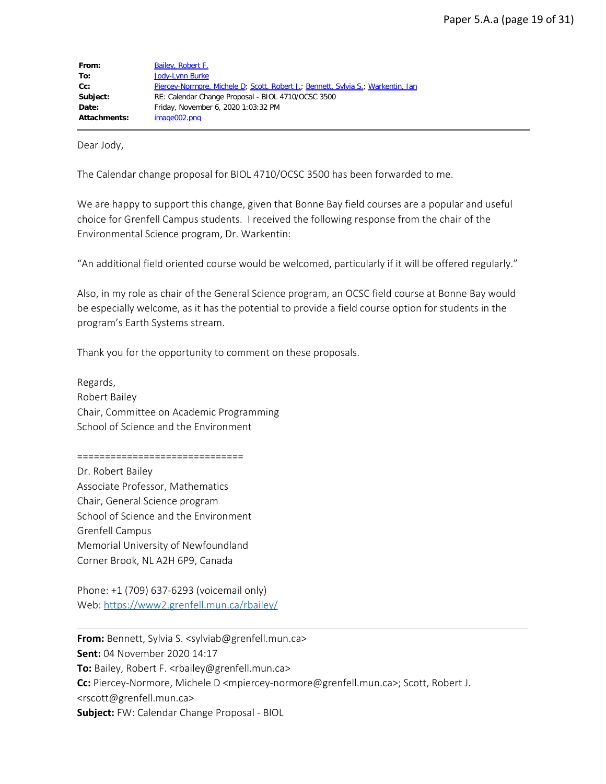| From:               | Bailey, Robert F.                                                                |
|---------------------|----------------------------------------------------------------------------------|
| To:                 | <b>Jody-Lynn Burke</b>                                                           |
| $Cc$ :              | Piercey-Normore, Michele D; Scott, Robert J.; Bennett, Sylvia S.; Warkentin, Ian |
| Subject:            | RE: Calendar Change Proposal - BIOL 4710/OCSC 3500                               |
| Date:               | Friday, November 6, 2020 1:03:32 PM                                              |
| <b>Attachments:</b> | image002.png                                                                     |

Dear Jody,

The Calendar change proposal for BIOL 4710/OCSC 3500 has been forwarded to me.

We are happy to support this change, given that Bonne Bay field courses are a popular and useful choice for Grenfell Campus students. I received the following response from the chair of the Environmental Science program, Dr. Warkentin:

"An additional field oriented course would be welcomed, particularly if it will be offered regularly."

Also, in my role as chair of the General Science program, an OCSC field course at Bonne Bay would be especially welcome, as it has the potential to provide a field course option for students in the program's Earth Systems stream.

Thank you for the opportunity to comment on these proposals.

Regards, Robert Bailey Chair, Committee on Academic Programming School of Science and the Environment

==============================

Dr. Robert Bailey Associate Professor, Mathematics Chair, General Science program School of Science and the Environment Grenfell Campus Memorial University of Newfoundland Corner Brook, NL A2H 6P9, Canada

Phone: +1 (709) 637-6293 (voicemail only) Web:<https://www2.grenfell.mun.ca/rbailey/>

**From:** Bennett, Sylvia S. <sylviab@grenfell.mun.ca> **Sent:** 04 November 2020 14:17 **To:** Bailey, Robert F. <rbailey@grenfell.mun.ca> **Cc:** Piercey-Normore, Michele D <mpiercey-normore@grenfell.mun.ca>; Scott, Robert J. <rscott@grenfell.mun.ca> **Subject:** FW: Calendar Change Proposal - BIOL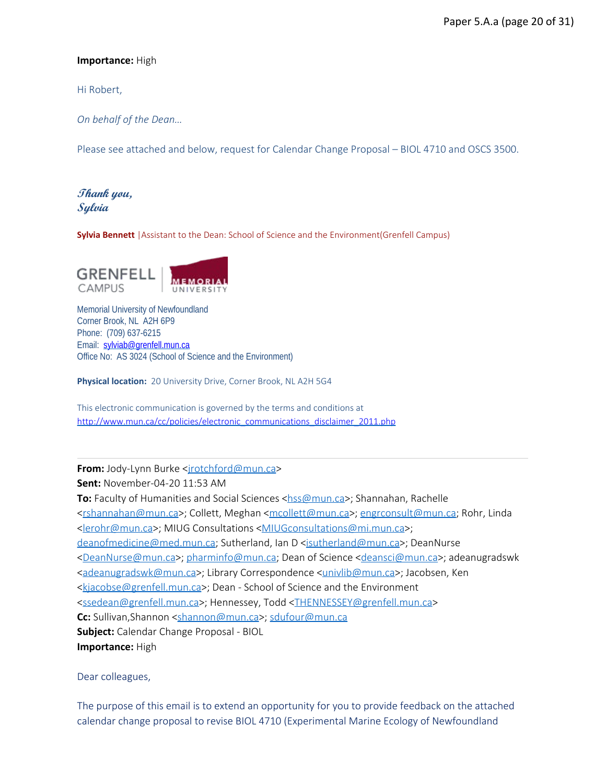#### **Importance:** High

Hi Robert,

*On behalf of the Dean…*

Please see attached and below, request for Calendar Change Proposal – BIOL 4710 and OSCS 3500.

## **Thank you, Sylvia**

**Sylvia Bennett** |Assistant to the Dean: School of Science and the Environment(Grenfell Campus)



Memorial University of Newfoundland Corner Brook, NL A2H 6P9 Phone: (709) 637-6215 Email: [sylviab@grenfell.mun.ca](mailto:sylviab@grenfell.mun.ca) Office No: AS 3024 (School of Science and the Environment)

**Physical location:** 20 University Drive, Corner Brook, NL A2H 5G4

This electronic communication is governed by the terms and conditions at [http://www.mun.ca/cc/policies/electronic\\_communications\\_disclaimer\\_2011.php](http://www.mun.ca/cc/policies/electronic_communications_disclaimer_2011.php)

#### From: Jody-Lynn Burke <[jrotchford@mun.ca](mailto:jrotchford@mun.ca)>

**Sent:** November-04-20 11:53 AM

**To:** Faculty of Humanities and Social Sciences [<hss@mun.ca](mailto:hss@mun.ca)>; Shannahan, Rachelle [<rshannahan@mun.ca](mailto:rshannahan@mun.ca)>; Collett, Meghan [<mcollett@mun.ca](mailto:mcollett@mun.ca)>; [engrconsult@mun.ca;](mailto:engrconsult@mun.ca) Rohr, Linda [<lerohr@mun.ca](mailto:lerohr@mun.ca)>; MIUG Consultations [<MIUGconsultations@mi.mun.ca](mailto:MIUGconsultations@mi.mun.ca)>; [deanofmedicine@med.mun.ca;](mailto:deanofmedicine@med.mun.ca) Sutherland, Ian D [<isutherland@mun.ca>](mailto:isutherland@mun.ca); DeanNurse [<DeanNurse@mun.ca](mailto:DeanNurse@mun.ca)>; [pharminfo@mun.ca](mailto:pharminfo@mun.ca); Dean of Science <[deansci@mun.ca](mailto:deansci@mun.ca)>; adeanugradswk [<adeanugradswk@mun.ca](mailto:adeanugradswk@mun.ca)>; Library Correspondence <[univlib@mun.ca](mailto:univlib@mun.ca)>; Jacobsen, Ken [<kjacobse@grenfell.mun.ca](mailto:kjacobse@grenfell.mun.ca)>; Dean - School of Science and the Environment [<ssedean@grenfell.mun.ca](mailto:ssedean@grenfell.mun.ca)>; Hennessey, Todd [<THENNESSEY@grenfell.mun.ca](mailto:THENNESSEY@grenfell.mun.ca)> **Cc:** Sullivan,Shannon [<shannon@mun.ca](mailto:shannon@mun.ca)>; [sdufour@mun.ca](mailto:sdufour@mun.ca) **Subject:** Calendar Change Proposal - BIOL **Importance:** High

Dear colleagues,

The purpose of this email is to extend an opportunity for you to provide feedback on the attached calendar change proposal to revise BIOL 4710 (Experimental Marine Ecology of Newfoundland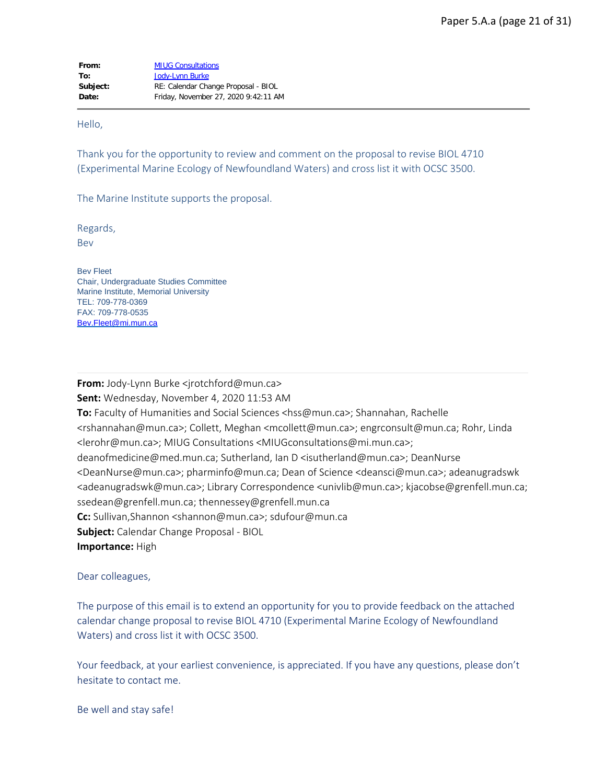Hello,

Thank you for the opportunity to review and comment on the proposal to revise BIOL 4710 (Experimental Marine Ecology of Newfoundland Waters) and cross list it with OCSC 3500.

The Marine Institute supports the proposal.

Regards,

Bev

Bev Fleet Chair, Undergraduate Studies Committee Marine Institute, Memorial University TEL: 709-778-0369 FAX: 709-778-0535 [Bev.Fleet@mi.mun.ca](mailto:Bev.Fleet@mi.mun.ca)

**From:** Jody-Lynn Burke <irotchford@mun.ca> **Sent:** Wednesday, November 4, 2020 11:53 AM **To:** Faculty of Humanities and Social Sciences <hss@mun.ca>; Shannahan, Rachelle <rshannahan@mun.ca>; Collett, Meghan <mcollett@mun.ca>; engrconsult@mun.ca; Rohr, Linda <lerohr@mun.ca>; MIUG Consultations <MIUGconsultations@mi.mun.ca>; deanofmedicine@med.mun.ca; Sutherland, Ian D <isutherland@mun.ca>; DeanNurse <DeanNurse@mun.ca>; pharminfo@mun.ca; Dean of Science <deansci@mun.ca>; adeanugradswk <adeanugradswk@mun.ca>; Library Correspondence <univlib@mun.ca>; kjacobse@grenfell.mun.ca; ssedean@grenfell.mun.ca; thennessey@grenfell.mun.ca **Cc:** Sullivan,Shannon <shannon@mun.ca>; sdufour@mun.ca **Subject:** Calendar Change Proposal - BIOL **Importance:** High

Dear colleagues,

The purpose of this email is to extend an opportunity for you to provide feedback on the attached calendar change proposal to revise BIOL 4710 (Experimental Marine Ecology of Newfoundland Waters) and cross list it with OCSC 3500.

Your feedback, at your earliest convenience, is appreciated. If you have any questions, please don't hesitate to contact me.

Be well and stay safe!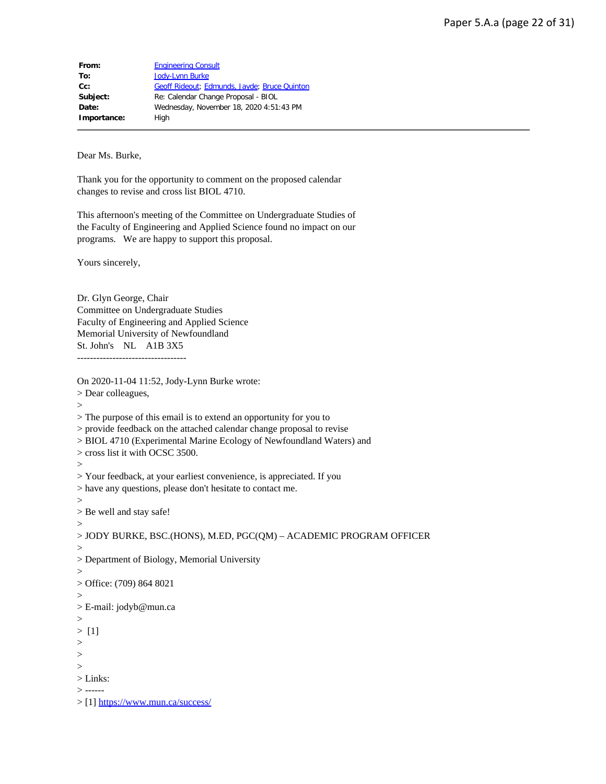| From:       | <b>Engineering Consult</b>                   |
|-------------|----------------------------------------------|
| To:         | Jody-Lynn Burke                              |
| Cc:         | Geoff Rideout; Edmunds, Jayde; Bruce Quinton |
| Subject:    | Re: Calendar Change Proposal - BIOL          |
| Date:       | Wednesday, November 18, 2020 4:51:43 PM      |
| Importance: | High                                         |

Dear Ms. Burke,

Thank you for the opportunity to comment on the proposed calendar changes to revise and cross list BIOL 4710.

This afternoon's meeting of the Committee on Undergraduate Studies of the Faculty of Engineering and Applied Science found no impact on our programs. We are happy to support this proposal.

Yours sincerely,

Dr. Glyn George, Chair Committee on Undergraduate Studies Faculty of Engineering and Applied Science Memorial University of Newfoundland St. John's NL A1B 3X5 ----------------------------------

On 2020-11-04 11:52, Jody-Lynn Burke wrote:

> Dear colleagues,

 $\geq$ 

> The purpose of this email is to extend an opportunity for you to

> provide feedback on the attached calendar change proposal to revise

> BIOL 4710 (Experimental Marine Ecology of Newfoundland Waters) and

> cross list it with OCSC 3500.

 $\geq$ 

> Your feedback, at your earliest convenience, is appreciated. If you

> have any questions, please don't hesitate to contact me.

>

> Be well and stay safe!  $>$ 

```
> JODY BURKE, BSC.(HONS), M.ED, PGC(QM) – ACADEMIC PROGRAM OFFICER
```
>

> Department of Biology, Memorial University

>

> Office: (709) 864 8021

>

> E-mail: jodyb@mun.ca

>

> [1]

>

 $>$  $\geq$ 

> Links:

> ------

> [1]<https://www.mun.ca/success/>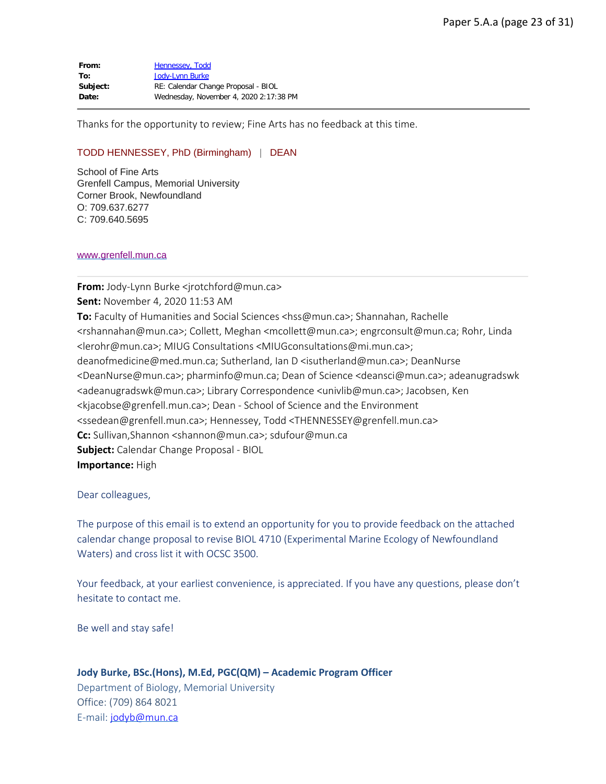From: [Hennessey, Todd](mailto:THENNESSEY@grenfell.mun.ca) **To:** [Jody-Lynn Burke](mailto:jrotchford@mun.ca) **Subject:** RE: Calendar Change Proposal - BIOL **Date:** Wednesday, November 4, 2020 2:17:38 PM

Thanks for the opportunity to review; Fine Arts has no feedback at this time.

#### TODD HENNESSEY, PhD (Birmingham) | DEAN

School of Fine Arts Grenfell Campus, Memorial University Corner Brook, Newfoundland O: 709.637.6277 C: 709.640.5695

#### [www.grenfell.mun.ca](http://www.grenfell.mun.ca/)

**From:** Jody-Lynn Burke <irotchford@mun.ca> **Sent:** November 4, 2020 11:53 AM **To:** Faculty of Humanities and Social Sciences <hss@mun.ca>; Shannahan, Rachelle <rshannahan@mun.ca>; Collett, Meghan <mcollett@mun.ca>; engrconsult@mun.ca; Rohr, Linda <lerohr@mun.ca>; MIUG Consultations <MIUGconsultations@mi.mun.ca>; deanofmedicine@med.mun.ca; Sutherland, Ian D <isutherland@mun.ca>; DeanNurse <DeanNurse@mun.ca>; pharminfo@mun.ca; Dean of Science <deansci@mun.ca>; adeanugradswk <adeanugradswk@mun.ca>; Library Correspondence <univlib@mun.ca>; Jacobsen, Ken <kjacobse@grenfell.mun.ca>; Dean - School of Science and the Environment <ssedean@grenfell.mun.ca>; Hennessey, Todd <THENNESSEY@grenfell.mun.ca> **Cc:** Sullivan,Shannon <shannon@mun.ca>; sdufour@mun.ca **Subject:** Calendar Change Proposal - BIOL **Importance:** High

Dear colleagues,

The purpose of this email is to extend an opportunity for you to provide feedback on the attached calendar change proposal to revise BIOL 4710 (Experimental Marine Ecology of Newfoundland Waters) and cross list it with OCSC 3500.

Your feedback, at your earliest convenience, is appreciated. If you have any questions, please don't hesitate to contact me.

Be well and stay safe!

#### **Jody Burke, BSc.(Hons), M.Ed, PGC(QM) – Academic Program Officer**

Department of Biology, Memorial University Office: (709) 864 8021 E-mail: [jodyb@mun.ca](mailto:jodyb@mun.ca)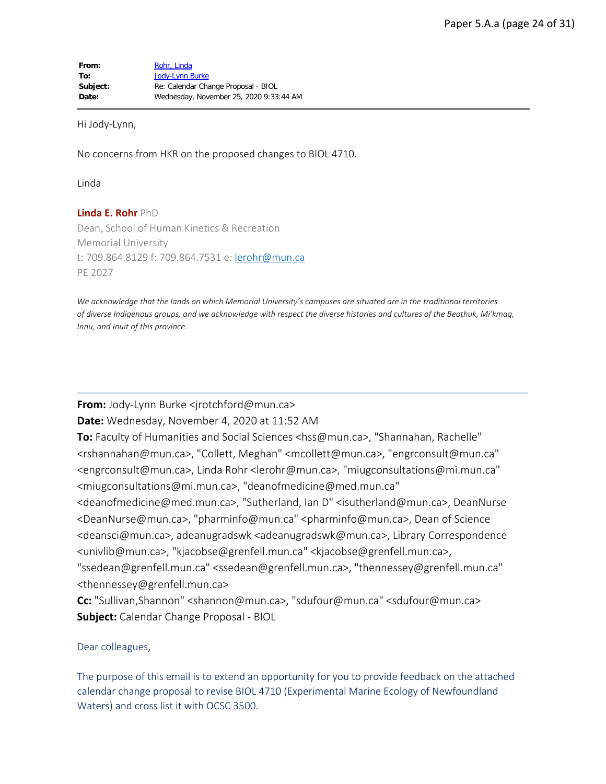Hi Jody-Lynn,

No concerns from HKR on the proposed changes to BIOL 4710.

Linda

**Linda E. Rohr** PhD Dean, School of Human Kinetics & Recreation Memorial University t: 709.864.8129 f: 709.864.7531 e: [lerohr@mun.ca](mailto:lerohr@mun.ca) PE 2027

*We acknowledge that the lands on which Memorial University's campuses are situated are in the traditional territories of diverse Indigenous groups, and we acknowledge with respect the diverse histories and cultures of the Beothuk, Mi'kmaq, Innu, and Inuit of this province.*

**From:** Jody-Lynn Burke <irotchford@mun.ca>

**Date:** Wednesday, November 4, 2020 at 11:52 AM

**To:** Faculty of Humanities and Social Sciences <hss@mun.ca>, "Shannahan, Rachelle" <rshannahan@mun.ca>, "Collett, Meghan" <mcollett@mun.ca>, "engrconsult@mun.ca" <engrconsult@mun.ca>, Linda Rohr <lerohr@mun.ca>, "miugconsultations@mi.mun.ca" <miugconsultations@mi.mun.ca>, "deanofmedicine@med.mun.ca"

<deanofmedicine@med.mun.ca>, "Sutherland, Ian D" <isutherland@mun.ca>, DeanNurse <DeanNurse@mun.ca>, "pharminfo@mun.ca" <pharminfo@mun.ca>, Dean of Science <deansci@mun.ca>, adeanugradswk <adeanugradswk@mun.ca>, Library Correspondence <univlib@mun.ca>, "kjacobse@grenfell.mun.ca" <kjacobse@grenfell.mun.ca>,

"ssedean@grenfell.mun.ca" <ssedean@grenfell.mun.ca>, "thennessey@grenfell.mun.ca" <thennessey@grenfell.mun.ca>

**Cc:** "Sullivan,Shannon" <shannon@mun.ca>, "sdufour@mun.ca" <sdufour@mun.ca> **Subject:** Calendar Change Proposal - BIOL

Dear colleagues,

The purpose of this email is to extend an opportunity for you to provide feedback on the attached calendar change proposal to revise BIOL 4710 (Experimental Marine Ecology of Newfoundland Waters) and cross list it with OCSC 3500.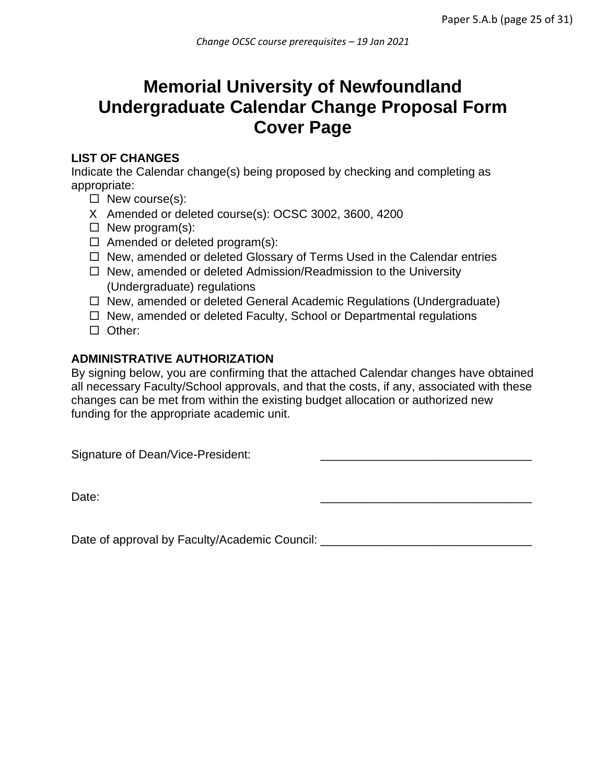# **Memorial University of Newfoundland Undergraduate Calendar Change Proposal Form Cover Page**

## **LIST OF CHANGES**

Indicate the Calendar change(s) being proposed by checking and completing as appropriate:

- $\Box$  New course(s):
- X Amended or deleted course(s): OCSC 3002, 3600, 4200
- $\Box$  New program(s):
- $\Box$  Amended or deleted program(s):
- $\Box$  New, amended or deleted Glossary of Terms Used in the Calendar entries
- $\Box$  New, amended or deleted Admission/Readmission to the University (Undergraduate) regulations
- $\Box$  New, amended or deleted General Academic Regulations (Undergraduate)
- $\Box$  New, amended or deleted Faculty, School or Departmental regulations
- □ Other:

# **ADMINISTRATIVE AUTHORIZATION**

By signing below, you are confirming that the attached Calendar changes have obtained all necessary Faculty/School approvals, and that the costs, if any, associated with these changes can be met from within the existing budget allocation or authorized new funding for the appropriate academic unit.

Signature of Dean/Vice-President:

Date: \_\_\_\_\_\_\_\_\_\_\_\_\_\_\_\_\_\_\_\_\_\_\_\_\_\_\_\_\_\_\_\_

Date of approval by Faculty/Academic Council: \_\_\_\_\_\_\_\_\_\_\_\_\_\_\_\_\_\_\_\_\_\_\_\_\_\_\_\_\_\_\_\_\_\_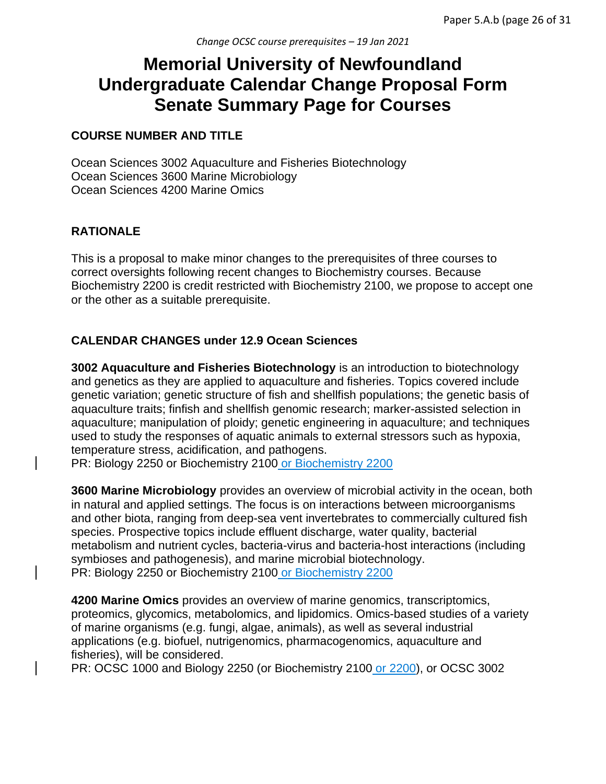# **Memorial University of Newfoundland Undergraduate Calendar Change Proposal Form Senate Summary Page for Courses**

## **COURSE NUMBER AND TITLE**

Ocean Sciences 3002 Aquaculture and Fisheries Biotechnology Ocean Sciences 3600 Marine Microbiology Ocean Sciences 4200 Marine Omics

# **RATIONALE**

This is a proposal to make minor changes to the prerequisites of three courses to correct oversights following recent changes to Biochemistry courses. Because Biochemistry 2200 is credit restricted with Biochemistry 2100, we propose to accept one or the other as a suitable prerequisite.

# **CALENDAR CHANGES under 12.9 Ocean Sciences**

**3002 Aquaculture and Fisheries Biotechnology** is an introduction to biotechnology and genetics as they are applied to aquaculture and fisheries. Topics covered include genetic variation; genetic structure of fish and shellfish populations; the genetic basis of aquaculture traits; finfish and shellfish genomic research; marker-assisted selection in aquaculture; manipulation of ploidy; genetic engineering in aquaculture; and techniques used to study the responses of aquatic animals to external stressors such as hypoxia, temperature stress, acidification, and pathogens.

PR: Biology 2250 or Biochemistry 2100 or Biochemistry 2200

**3600 Marine Microbiology** provides an overview of microbial activity in the ocean, both in natural and applied settings. The focus is on interactions between microorganisms and other biota, ranging from deep-sea vent invertebrates to commercially cultured fish species. Prospective topics include effluent discharge, water quality, bacterial metabolism and nutrient cycles, bacteria-virus and bacteria-host interactions (including symbioses and pathogenesis), and marine microbial biotechnology. PR: Biology 2250 or Biochemistry 2100 or Biochemistry 2200

**4200 Marine Omics** provides an overview of marine genomics, transcriptomics, proteomics, glycomics, metabolomics, and lipidomics. Omics-based studies of a variety of marine organisms (e.g. fungi, algae, animals), as well as several industrial applications (e.g. biofuel, nutrigenomics, pharmacogenomics, aquaculture and fisheries), will be considered.

PR: OCSC 1000 and Biology 2250 (or Biochemistry 2100 or 2200), or OCSC 3002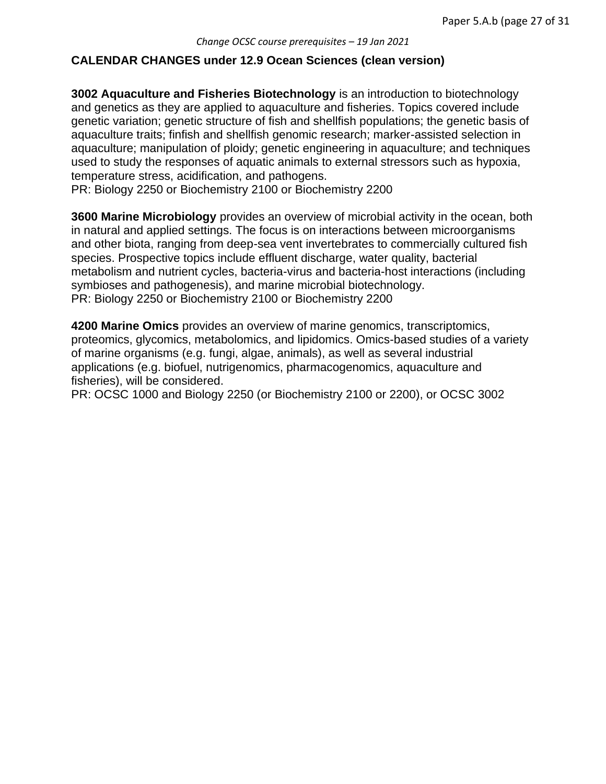#### **CALENDAR CHANGES under 12.9 Ocean Sciences (clean version)**

**3002 Aquaculture and Fisheries Biotechnology** is an introduction to biotechnology and genetics as they are applied to aquaculture and fisheries. Topics covered include genetic variation; genetic structure of fish and shellfish populations; the genetic basis of aquaculture traits; finfish and shellfish genomic research; marker-assisted selection in aquaculture; manipulation of ploidy; genetic engineering in aquaculture; and techniques used to study the responses of aquatic animals to external stressors such as hypoxia, temperature stress, acidification, and pathogens.

PR: Biology 2250 or Biochemistry 2100 or Biochemistry 2200

**3600 Marine Microbiology** provides an overview of microbial activity in the ocean, both in natural and applied settings. The focus is on interactions between microorganisms and other biota, ranging from deep-sea vent invertebrates to commercially cultured fish species. Prospective topics include effluent discharge, water quality, bacterial metabolism and nutrient cycles, bacteria-virus and bacteria-host interactions (including symbioses and pathogenesis), and marine microbial biotechnology. PR: Biology 2250 or Biochemistry 2100 or Biochemistry 2200

**4200 Marine Omics** provides an overview of marine genomics, transcriptomics, proteomics, glycomics, metabolomics, and lipidomics. Omics-based studies of a variety of marine organisms (e.g. fungi, algae, animals), as well as several industrial applications (e.g. biofuel, nutrigenomics, pharmacogenomics, aquaculture and fisheries), will be considered.

PR: OCSC 1000 and Biology 2250 (or Biochemistry 2100 or 2200), or OCSC 3002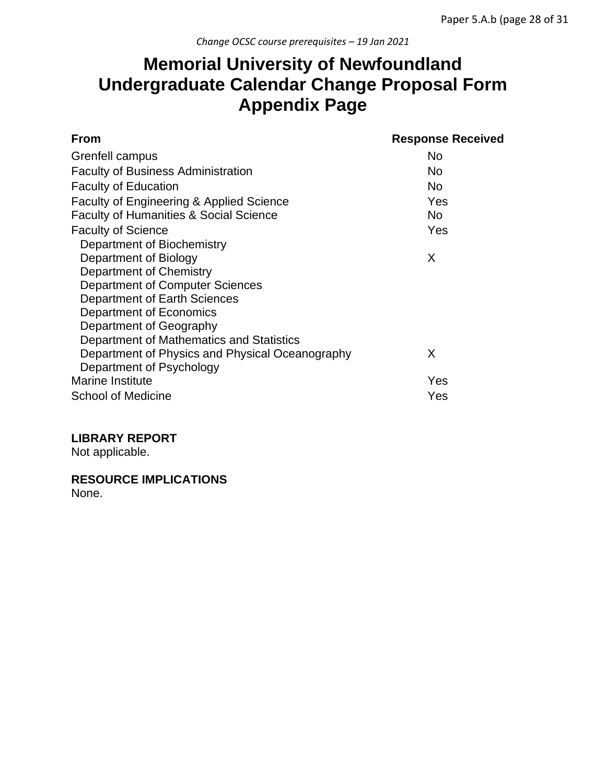# **Memorial University of Newfoundland Undergraduate Calendar Change Proposal Form Appendix Page**

| <b>From</b>                                       | <b>Response Received</b> |
|---------------------------------------------------|--------------------------|
| Grenfell campus                                   | No                       |
| <b>Faculty of Business Administration</b>         | No                       |
| <b>Faculty of Education</b>                       | No                       |
| Faculty of Engineering & Applied Science          | Yes                      |
| <b>Faculty of Humanities &amp; Social Science</b> | No.                      |
| <b>Faculty of Science</b>                         | Yes                      |
| Department of Biochemistry                        |                          |
| Department of Biology                             | X                        |
| Department of Chemistry                           |                          |
| Department of Computer Sciences                   |                          |
| Department of Earth Sciences                      |                          |
| Department of Economics                           |                          |
| Department of Geography                           |                          |
| Department of Mathematics and Statistics          |                          |
| Department of Physics and Physical Oceanography   | X                        |
| Department of Psychology                          |                          |
| <b>Marine Institute</b>                           | Yes                      |
| School of Medicine                                | Yes                      |

## **LIBRARY REPORT**

Not applicable.

**RESOURCE IMPLICATIONS**

None.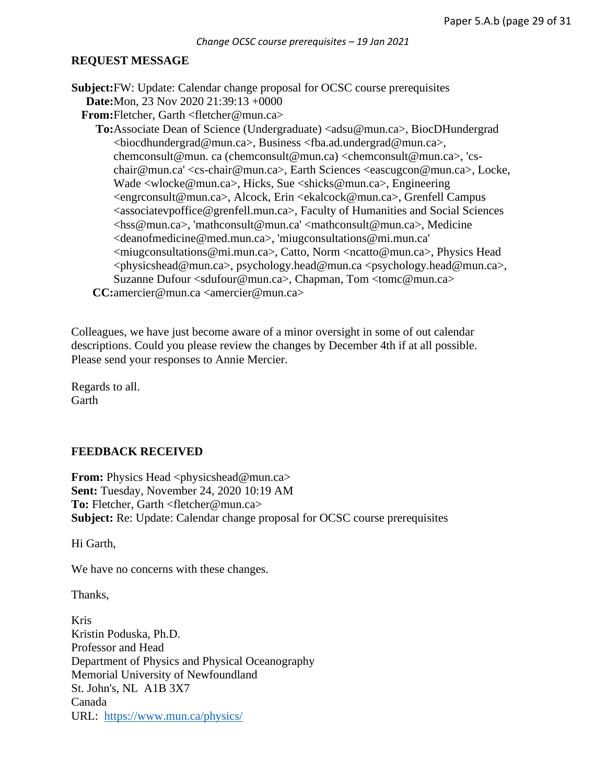#### **REQUEST MESSAGE**

**Subject: FW: Update: Calendar change proposal for OCSC course prerequisites Date:** Mon, 23 Nov 2020 21:39:13 +0000

**From:** Fletcher, Garth <fletcher@mun.ca>

To: Associate Dean of Science (Undergraduate) <adsu@mun.ca>, BiocDHundergrad <biocdhundergrad@mun.ca>, Business <fba.ad.undergrad@mun.ca>, chemconsult@mun. ca (chemconsult@mun.ca) <chemconsult@mun.ca>, 'cschair@mun.ca' <cs-chair@mun.ca>, Earth Sciences <eascugcon@mun.ca>, Locke, Wade <wlocke@mun.ca>, Hicks, Sue <shicks@mun.ca>, Engineering <engrconsult@mun.ca>, Alcock, Erin <ekalcock@mun.ca>, Grenfell Campus <associatevpoffice@grenfell.mun.ca>, Faculty of Humanities and Social Sciences <hss@mun.ca>, 'mathconsult@mun.ca' <mathconsult@mun.ca>, Medicine <deanofmedicine@med.mun.ca>, 'miugconsultations@mi.mun.ca' <miugconsultations@mi.mun.ca>, Catto, Norm <ncatto@mun.ca>, Physics Head <physicshead@mun.ca>, psychology.head@mun.ca <psychology.head@mun.ca>, Suzanne Dufour <sdufour@mun.ca>, Chapman, Tom <tomc@mun.ca> **CC:** amercier@mun.ca <amercier@mun.ca>

Colleagues, we have just become aware of a minor oversight in some of out calendar descriptions. Could you please review the changes by December 4th if at all possible. Please send your responses to Annie Mercier.

Regards to all. **Garth** 

#### **FEEDBACK RECEIVED**

**From:** Physics Head <physicshead@mun.ca> **Sent:** Tuesday, November 24, 2020 10:19 AM **To:** Fletcher, Garth <fletcher@mun.ca> **Subject:** Re: Update: Calendar change proposal for OCSC course prerequisites

Hi Garth,

We have no concerns with these changes.

Thanks,

Kris Kristin Poduska, Ph.D. Professor and Head Department of Physics and Physical Oceanography Memorial University of Newfoundland St. John's, NL A1B 3X7 Canada URL: <https://www.mun.ca/physics/>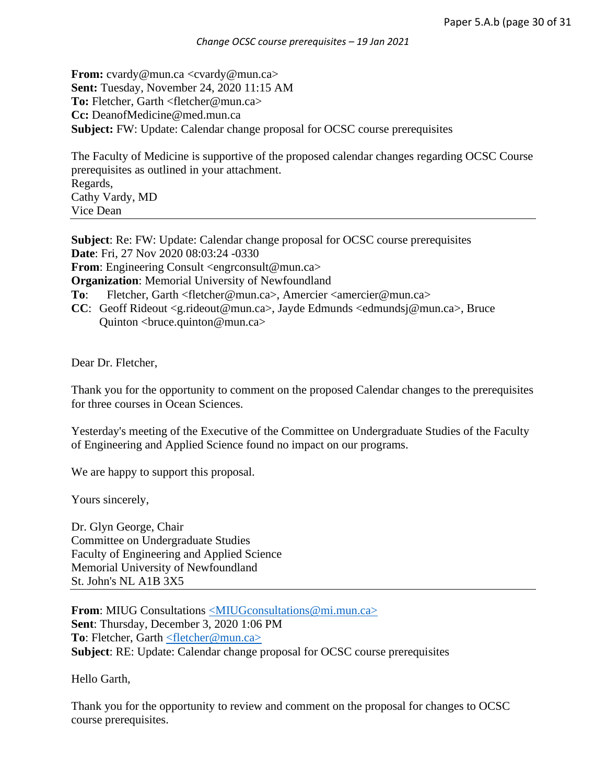**From:** cvardy@mun.ca <cvardy@mun.ca> **Sent:** Tuesday, November 24, 2020 11:15 AM **To:** Fletcher, Garth <fletcher@mun.ca> **Cc:** DeanofMedicine@med.mun.ca **Subject:** FW: Update: Calendar change proposal for OCSC course prerequisites

The Faculty of Medicine is supportive of the proposed calendar changes regarding OCSC Course prerequisites as outlined in your attachment. Regards, Cathy Vardy, MD Vice Dean

**Subject**: Re: FW: Update: Calendar change proposal for OCSC course prerequisites **Date**: Fri, 27 Nov 2020 08:03:24 -0330 **From**: Engineering Consult <engrconsult@mun.ca> **Organization**: Memorial University of Newfoundland **To**: Fletcher, Garth <fletcher@mun.ca>, Amercier <amercier@mun.ca> **CC**: Geoff Rideout <g.rideout@mun.ca>, Jayde Edmunds <edmundsj@mun.ca>, Bruce Quinton <br/> <br/> <br/> <br/> <br/> $Qmun.ca$ 

Dear Dr. Fletcher,

Thank you for the opportunity to comment on the proposed Calendar changes to the prerequisites for three courses in Ocean Sciences.

Yesterday's meeting of the Executive of the Committee on Undergraduate Studies of the Faculty of Engineering and Applied Science found no impact on our programs.

We are happy to support this proposal.

Yours sincerely,

Dr. Glyn George, Chair Committee on Undergraduate Studies Faculty of Engineering and Applied Science Memorial University of Newfoundland St. John's NL A1B 3X5

**From:** MIUG Consultations [<MIUGconsultations@mi.mun.ca>](mailto:MIUGconsultations@mi.mun.ca) **Sent**: Thursday, December 3, 2020 1:06 PM **To**: Fletcher, Garth [<fletcher@mun.ca>](mailto:fletcher@mun.ca) **Subject**: RE: Update: Calendar change proposal for OCSC course prerequisites

Hello Garth,

Thank you for the opportunity to review and comment on the proposal for changes to OCSC course prerequisites.